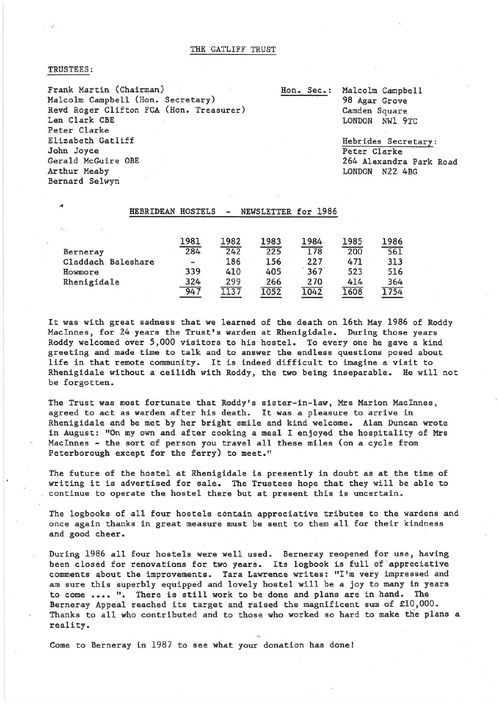THE GATLIFF TRUST

## TRUSTEES:

..

Frank Martin (Chairman) Malcolm Campbell (Hon. Secretary) Revd Roger Clifton FCA (Hon. Treasurer) Len Clark CBE Peter Clarke Elizabeth Gatliff John Joyce Gerald McGuire OBE Arthur Meaby Bernard Selwyn

Hon. Sec.: Malcolm Campbell 98 Agar Grove Camden Square LONDON NW1 9TC

> Hebrides Secretary: Peter Clarke 264 Alexandra Park Road LONDON N22 4BG

## HEBRIDEAN HOSTELS - NEWSLETTER for 1986

|                    | 1981                         | 1982 | 1983 | 1984 | 1985 | 1986 |
|--------------------|------------------------------|------|------|------|------|------|
| Berneray           | 284                          | 242  | 225  | 178  | 200  | 561  |
| Claddach Baleshare | $\qquad \qquad \blacksquare$ | 186  | 156  | 227  | 471  | 313  |
| Howmore            | 339                          | 410  | 405  | 367  | 523  | 516  |
| Rhenigidale        | 324                          | 299  | 266  | 270  | 414  | 364  |
|                    | 947                          | 1137 | 052  | 1042 | L608 | L754 |

It was with great sadness that we learned of the death on 16th May 1986 of Roddy MacInnes, for 24 years the Trust's warden at Rhenigidale. During those years Roddy welcomed over 5,000 visitors to his hostel. To every one he gave a kind greeting and made time to talk and to answer the endless questions posed about life in that remote community. It is indeed difficult to imagine a visit to Rhenigidale without a ceilidh with Roddy, the two being inseparable. He will not be forgotten.

The Trust was most fortunate that Roddy's sister-in-law, Mrs Marion MacInnes, agreed to act as warden after his death. It was a pleasure to arrive in Rhenigidale and be met by her bright smile and kind welcome. Alan Duncan wrote in August: "On my own and after cooking a meal I enjoyed the hospitality of Mrs MacInnes - the sort of person you travel all these miles (on a cycle from Peterborough except for the ferry) to meet."

The future of the hostel at Rhenigidale is presently in doubt as at the time of writing it is advertised for sale. The Trustees hope that they will be able to continue to operate the hostel there but at present this is uncertain.

The logbooks of all four hostels contain appreciative tributes to the wardens and once again thanks in great measure must be sent to them all for their kindness and good cheer.

During 1986 all four hostels were well used. Berneray reopened for use, having been closed for renovations for two years. Its logbook is full of appreciative comments about the improvements. Tara Lawrence writes: "I'm very impressed and am sure this superbly equipped and lovely hostel will be a joy to many in years to come **••••** ". There is still work to be done and plans are in hand. The Berneray Appeal reached its target and raised the magnificent sum of £10,000. Thanks to all who contributed and to those who worked so hard to make the plans a reality.

Come to Berneray in 1987 to see what your donation has done!